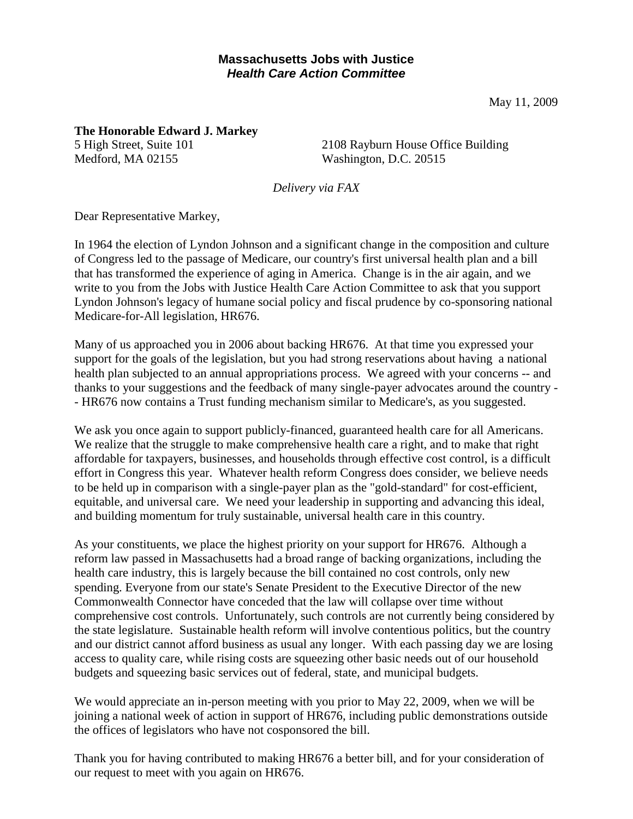## **Massachusetts Jobs with Justice**  *Health Care Action Committee*

May 11, 2009

**The Honorable Edward J. Markey** 5 High Street, Suite 101 Medford, MA 02155

2108 Rayburn House Office Building Washington, D.C. 20515

*Delivery via FAX*

Dear Representative Markey,

In 1964 the election of Lyndon Johnson and a significant change in the composition and culture of Congress led to the passage of Medicare, our country's first universal health plan and a bill that has transformed the experience of aging in America. Change is in the air again, and we write to you from the Jobs with Justice Health Care Action Committee to ask that you support Lyndon Johnson's legacy of humane social policy and fiscal prudence by co-sponsoring national Medicare-for-All legislation, HR676.

Many of us approached you in 2006 about backing HR676. At that time you expressed your support for the goals of the legislation, but you had strong reservations about having a national health plan subjected to an annual appropriations process. We agreed with your concerns -- and thanks to your suggestions and the feedback of many single-payer advocates around the country - - HR676 now contains a Trust funding mechanism similar to Medicare's, as you suggested.

We ask you once again to support publicly-financed, guaranteed health care for all Americans. We realize that the struggle to make comprehensive health care a right, and to make that right affordable for taxpayers, businesses, and households through effective cost control, is a difficult effort in Congress this year. Whatever health reform Congress does consider, we believe needs to be held up in comparison with a single-payer plan as the "gold-standard" for cost-efficient, equitable, and universal care. We need your leadership in supporting and advancing this ideal, and building momentum for truly sustainable, universal health care in this country.

As your constituents, we place the highest priority on your support for HR676. Although a reform law passed in Massachusetts had a broad range of backing organizations, including the health care industry, this is largely because the bill contained no cost controls, only new spending. Everyone from our state's Senate President to the Executive Director of the new Commonwealth Connector have conceded that the law will collapse over time without comprehensive cost controls. Unfortunately, such controls are not currently being considered by the state legislature. Sustainable health reform will involve contentious politics, but the country and our district cannot afford business as usual any longer. With each passing day we are losing access to quality care, while rising costs are squeezing other basic needs out of our household budgets and squeezing basic services out of federal, state, and municipal budgets.

We would appreciate an in-person meeting with you prior to May 22, 2009, when we will be joining a national week of action in support of HR676, including public demonstrations outside the offices of legislators who have not cosponsored the bill.

Thank you for having contributed to making HR676 a better bill, and for your consideration of our request to meet with you again on HR676.